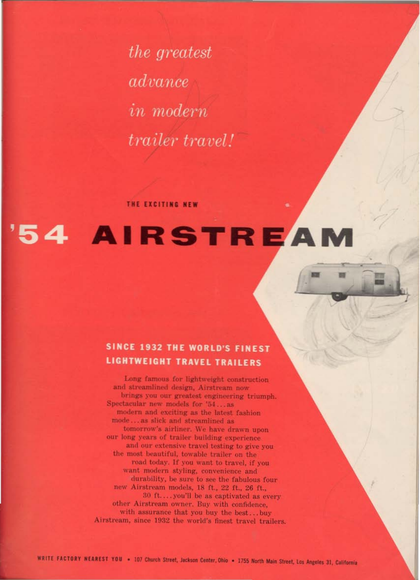*the greatest* advance *in* modern *trailer travel!* 

THE EXCITING NEW

# 54 AIRSTREAM

# SINCE 1932 THE WORLD'S FINEST **LIGHTWEIGHT TRAVEL TRAILERS**

Long famous for lightweight construction and streamlined design, Airstream now brings you our greatest engineering triumph. Spectacular new models for '54...as modern and exciting as the latest fashion mode...as slick and streamlined as tomorrow's airliner. We have drawn upon our long years of trailer building experience

and our extensive travel testing to give you the most beautiful, towable trailer on the road today. If you want to travel, if you want modern styling, convenience and durability, be sure to see the fabulous four new Airstream models, 18 ft., 22 ft., 26 ft., 30 ft....you'll be as captivated as every other Airstream owner. Buy with confidence, with assurance that you buy the best...buy Airstream, since 1932 the world's finest travel trailers.

WRITE FACTORY NEAREST YOU . 107 Church Street, Jackson Center, Ohio . 1755 North Main Street, Los Angeles 31, California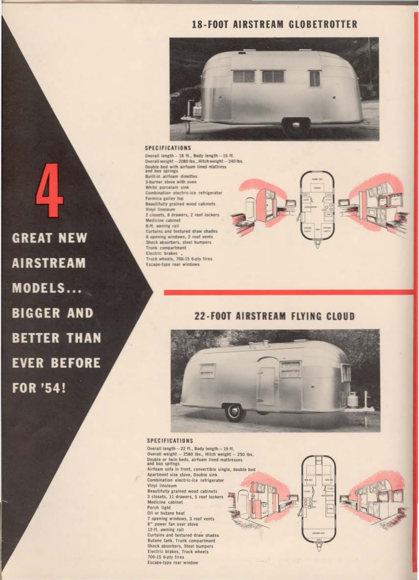# **18-FOOT AIRSTREAM GLOBETROTTER**



#### SPECIFICATIONS

Overall length -- 18 ft., Body length -- 15 ft. Overall weight - 2080 lbs., Hitch weight - 240 lbs. Double bed with airfoam lined mattress and box springs Built-in airfoam dinettes 3-barner stove with oven White porcelain sink Combination electric-ice refrigerator Formica galley top **Beautifully grained wood cabinets** Vinyl linoleum 2 closets, 8 drawers, 2 roof lockers Medicine cabinet 8-ft. awning rail Curtains and textured draw shades 6 opening windows, 2 roof vents Shock absorbers, steel bumpers Trunk compartment Electric brakes . Truck wheels, 700-15 6-ply tires Escape-type rear windows

**GREAT NEW AIRSTREAM** MODELS... **BIGGER AND BETTER THAN EVER BEFORE FOR '54!** 

# 22-FOOT AIRSTREAM FLYING CLOUD



**SPECIFICATIONS** 

Overall length - 22 ft., Body length - 19 ft. Overall weight - 2580 lbs., Hitch weight - 250 lbs. Double or twin beds, airfoam lined mattresses and box springs

Airfoam sofa in front, convertible single, double bed Apartment size stove, Double sink Combination electric-ice refrigerator Vinyl linoleum

Beautifully grained wood cabinets 3 closets, 11 drawers, 5 roof lockers Medicine cabinet Porch light Oil or butane heat 7 opening windows, 3 roof vents 8" power fan over stove 12-ft. awning rail Curtains and textured draw shades Butane tank, Trunk compartment

Shock absorbers, Steel bumpers Electric brakes, Truck wheels 700-15 6-ply tires Escape-type rear window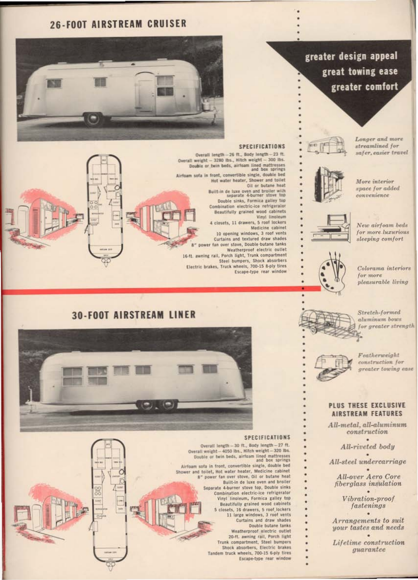## **26-FOOT AIRSTREAM CRUISER**

#### **SPECIFICATIONS**

Overall length -- 26 ft., Body length -- 23 ft. Overall weight - 3280 lbs., Hitch weight - 300 lbs. Double or twin beds, airfoam lined mattresses and box springs Airfoam sofa in front, convertible single, double bed Hot water heater, Shower and toilet Oil or butane heat Built-in de luxe oven and broiler with separate 4-burner stove top Double sinks, Formica galley top Combination electric-ice refrigerator Beautifully grained wood cabinets Vinyl linoleum 4 closets, 11 drawers, 5 roof lockers Medicine cabinet 10 opening windows, 3 roof vents Curtains and textured draw shades B" power fan over stove, Double-butane tanks Weatherproof electric outlet 16-ft. awning rail, Porch light, Trunk compartment Steel bumpers, Shock absorbers Electric brakes, Truck wheels, 700-15 8-ply tires Escape-type rear window

streamlined for safer, easier travel

greater design appeal

great towing ease

greater comfort



More interior space for added convenience

Longer and more



New airfoam beds for more luxurious sleeping comfort

Colorama interiors for more pleasurable living

Stretch-formed aluminum bows for greater strength







۰

٠

Featherweight construction for greater towing case

#### PLUS THESE EXCLUSIVE AIRSTREAM FEATURES

All-metal, all-aluminum construction

All-riveted body All-steel undercarriage

All-over Aero Core fiberglass insulation

> Vibration-proof fastenings

Arrangements to suit your tastes and needs

Lifetime construction guarantee

Overall length - 30 ft., Body length - 27 ft. Overall weight - 4050 lbs., Hitch weight - 320 lbs. Double or twin beds, airfoam lined mattresses and box springs

Airfoam sofa in front, convertible single, double bed Shower and toilet, Hot water heater, Medicine cabinet B" power fan over stove, Oil or butane heat Built-in de luxe oven and broiler Separate 4-burner stove top, Double sinks Combination electric-ice refrigerator Vinyl linoleum, Formica galley top Beautifully grained wood cabinets 5 closets, 16 drawers, 5 roof lockers 11 large windows, 3 roof vents Curtains and draw shades Double butane tanks Weatherproof electric outlet 20-ft. awning rail, Porch light Trunk compartment, Steel bumpers Shock absorbers, Electric brakes

Tandem truck wheels, 700-15 6-ply tires

Escape-type rear window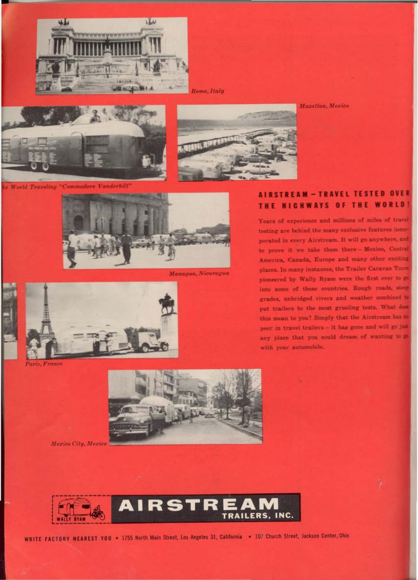

Rome, Italy





le World Traveling "Commodore Vanderbilt"



Managua, Nicaragua



Paris, France



### AIRSTREAM - TRAVEL TESTED OVER THE HIGHWAYS OF THE WORLD.

Years of experience and millions of miles of travel testing are behind the many exclusive features incorporated in every Airstream. It will go anywhere, and to prove it we take them there-Mexico, Central America, Canada, Europe and many other exciting places. In many instances, the Trailer Caravan Tours pioneered by Wally Byam were the first ever to go into some of these countries. Rough roads, steep grades, unbridged rivers and weather combined to put trailers to the most grueling tests. What does this mean to you? Simply that the Airstream has m peer in travel trailers- it has gone and will go just any place that you could dream of wanting to m with your automobile.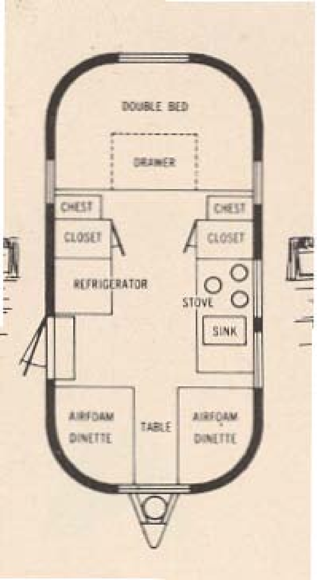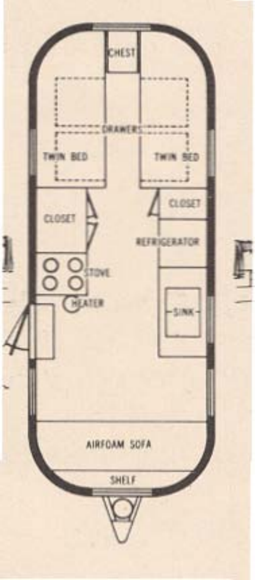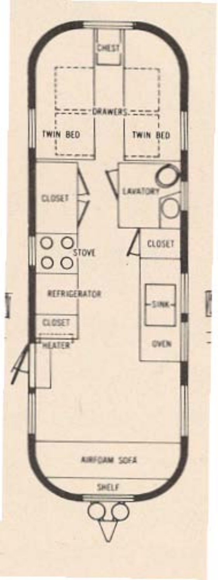